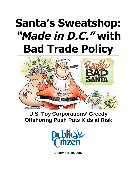# **Santa's Sweatshop: "Made in D.C." with Bad Trade Policy**



# **U.S. Toy Corporations' Greedy Offshoring Push Puts Kids at Risk**



**December 19, 2007**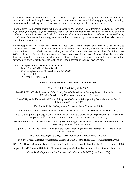© 2007 by Public Citizen's Global Trade Watch. All rights reserved. No part of this document may be reproduced or utilized in any form or by any means, electronic or mechanical, including photography, recording, or by information exchange and retrieval systems, without written permission from the authors.

Public Citizen is a nonprofit membership organization in Washington, D.C., dedicated to advancing consumer rights through lobbying, litigation, research, publications and information services. Since its founding by Ralph Nader in 1971, Public Citizen has fought for consumer rights in the marketplace, for safe and secure health care, for fair trade, for clean and safe energy sources, and for corporate and government accountability. Visit our web page at http://www.citizen.org.

Acknowledgments: This report was written by Todd Tucker, Mary Bottari, and Lindsey Pullen. Thanks to Angela Bradbery, Joan Claybook, Bill Holland, Mike Lemov, Saerom Park, Kate Pollard, Adina Rosenbaum, Holly Shulman, Lori Wallach, Daphne Watkins, and Brandon Wu for other assistance. John Cole of the *Times-Tribune* (Scranton, Pa.) provided the cover art. Sarah Anderson, Adam Hersh, Agatha Schmaedick and Alan Tonelson provided very useful insights into CEO pay, Chinese economic issues and import penetration methodology. Special thanks to Jacob Wallach, our kiddie advisor on issues of toys and fun.

Additional copies of this document are available from: Public Citizen's Global Trade Watch 215 Pennsylvania Ave SE, Washington, DC 20003 (202) 546-4996 PC Product ID No: E9028

#### **Other Titles by Public Citizen's Global Trade Watch:**

Trade Deficit in Food Safety (July 2007)

- Peru-U.S. "Free Trade Agreement" Would Help Lock-In Failed Social Security Privatization in Peru (June 2007, with Americans for Democratic Action and USAction)
	- States' Rights And International Trade: A Legislator's Guide to Reinvigorating Federalism in the Era of Globalization (February 2007)

Election 2006: No To Staying the Course on Trade (November 2006)

How Politics Trumped Truth in the Neo-Liberal Revision of Chile's Development (September 2006)

The WTO's Empty Hong Kong "Development Package": How the World Trade Organization's 97% Duty-Free Proposal Could Leave Poor Countries Worse Off (June 2006; with ActionAid)

Dangerous CAFTA Liaisons: Members of Congress Providing Decisive Votes on Trade Deal Receive Jump in Corporate Campaign Cash (February 2006)

Big Box Backlash: The Stealth Campaign at the World Trade Organization to Preempt Local Control Over Land Use (December 2005)

Trade Wars: Revenge of the Myth / Deals for Trade Votes Gone Bad (June 2005)

Fool Me Twice? Chamber of Commerce Distorts NAFTA Record, Hides CAFTA Costs (March 2005)

NAFTA's Threat to Sovereignty and Democracy: The Record of Chap. 11 Investor-State Cases (February 2005)

Impact of NAFTA on the U.S. Latino Community (August 2004, w/ Labor Council for Lat. Am. Advancement)

*Whose Trade Organization? A Comprehensive Guide to the WTO* (New Press, 2004)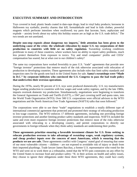# **EXECUTIVE SUMMARY AND INTRODUCTION**

Toys covered in lead; plastic beads coated in date-rape drugs; lead in vinyl baby products; kerosene in Halloween toy eyeballs; jewelry charms that kill; formaldehyde and lead in kids clothes; powerful magnets which perforate intestines when swallowed; toy parts that lacerate, burn, asphyxiate and explode – anxiety levels about toy safety this holiday season are as high as the U.S. trade deficit.<sup>[1](#page-29-0)</sup> The two trends are not unrelated.

**Despite non-stop exposés about dangerous toy imports,**[2](#page-29-1) **little attention has been given to the underlying cause of the crisis: the wholesale relocation by major U.S. toy corporations of their production to countries with little or no safety regulation.** Sweatshop working conditions proliferate in many of these countries, where workers have no ability to report safety problems, much less protect themselves from exposure to toxics. Toy and retail companies' profits and CEOs' compensation has soared, but at what cost to our children's safety?

The same toy corporations have worked feverishly to pass U.S. "trade" agreements that provide new "foreign investor" protections that remove much of the risk otherwise associated with relocation of production to developing countries. These agreements also include rules that limit safety standards and inspection rates for the goods sent back to the United States for sale. **Santa's sweatshops were "Made in D.C." by corporate lobbyists who convinced the U.S. Congress to pass the bad trade policy that underwrites their overseas operations.**

During the 1970s, nearly 90 percent of U.S. toys were produced domestically. U.S. toy manufacturers began sending production to countries with low wages and weak safety regimes, and by the late 1980s, imports overtook domestic toy production. Simultaneously, negotiations were beginning to transform the General Agreement on Trade and Tariffs (GATT), a 1947 pact covering tariff and quota rates, into the World Trade Organization (WTO). Over 500 U.S. corporations were official advisors to the WTO negotiations and the North American Free Trade Agreement (NAFTA) talks that soon followed.<sup>[3](#page-29-2)</sup>

The corporations were able to use these "trade" negotiations to establish a totally different type of international commercial agreement that protected and promoted their strategy of relocating production to low-wage countries. The WTO enforces 17 different agreements, including one providing foreign investor protections and another limiting product safety standards and inspection. NAFTA included the same and even more expansive foreign investor protections that remove most of the risks otherwise associated with relocating to a developing country, and permit corporations to directly sue governments in foreign tribunals when they think safety standards are undermining their profits.

**These agreements prioritize ensuring a favorable investment climate for U.S. firms seeking to relocate production overseas to take advantage of sweatshop wages, weak regulatory systems, and cheap product inputs over the concern of most Americans, which is ensuring that the products we use are safe.** These agreements conflict with Congress' stated goal of ensuring that some of our most vulnerable citizens – children – are not exposed to avoidable risk of injury or death from their imported playthings. Trade lawyer James Bacchus, a former U.S. representative who voted for the WTO and went on to work there as a tribunalist, noted that the WTO puts constraints on any effort by the United States to increase food and product safety: "If, in their actions on health and safety issues, they choose to ignore their obligations under these three WTO agreements, they could face costly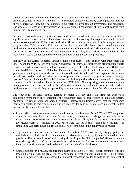economic sanctions in the form of lost access to the other's market. Such sanctions could range into the billions of dollars in lost sales annually."<sup>[4](#page-29-3)</sup> The corporate strategy enabled by these agreements has not only offshored U.S. jobs, but it has outsourced our safety policy to foreign governments and producers. The wholesale relocation of toy production has also curtailed consumers' ability to seek redress from harm in the U.S. court system.

Because the overwhelming majority of toys sold in the United States are now produced in China, significant wrath about safety problems has been aimed at that country. This report reviews the special problems associated with Chinese toy production. However, the main villains in this unhappy holiday story are the CEOs of major U.S. toy and retail companies who have chosen to relocate their production to venues where they cannot ensure the safety of their products.<sup>[5](#page-29-4)</sup> Absent addressing the root causes of the crisis, even the needed improvements in U.S. safety laws and toy company and retailer inspection systems cannot counter the conditions under which the toys are produced.

Not only do the current Congress' laudable goals on consumer safety conflict with trade pacts like NAFTA and the WTO passed by previous Congresses, but they also conflict with proposed trade pacts recently passed or now pending before Congress. The U.S.-Peru Free Trade Agreement (FTA) and similar NAFTA expansions to Colombia, Panama and Korea replicate and lock in limits on the U.S. government's ability to ensure the safety of imported products and food. These agreements not only provide corporations with incentives to relocate production overseas, they grant expansive "foreign investor" rights to challenge U.S. public interest laws in foreign tribunals and to demand U.S. taxpayer compensation for regulations that undermine their FTA rights. Not surprisingly, these agreements are being promoted by large and politically influential corporations seeking to lock in their offshore production strategy, while they are opposed by consumer groups worried about the safety implications.

The "low road" business strategy pursued by major U.S. toy and retail firms has eviscerated democratic oversight of their operations, the consumers' right to seek redress in our court system, economic security at home and abroad, children's safety, and ultimately even cost the companies themselves dearly. In this report, Public Citizen provides for consumers, press and policymakers data not previously compiled or analyzed:

- In the 1970s, there were never more than a dozen toy recalls a year. From 2003 to 2007, the period examined in a new database created for this report, the frequency of dangerous toys sold in the United States skyrocketed, with imports comprising almost all toy recalls. In 2003, there were 37 toy recalls worth \$44 million. In 2007, there were 120 toy recalls worth \$384.8 million – an astonishing 224 percent jump in recalls and a 773 percent jump in the dollar value of recalls;
- Toys made in China account for 94 percent of recalls in 2007. However, by disaggregating the recall data, we find that this phenomenon is driven almost entirely by recalls related to lead problems. The increased use of lead is being driven in part by U.S. companies' efforts to procure sweatshop goods from China at the same low prices even as Chinese wages continue to slowly increase. Specific attention needs to be paid to address the China lead issue;
- China accounts for a roughly proportionate share of design flaw recalls, which continue to be at a troublingly high level, but are as likely to be found in recalled goods made in the United States, China, or elsewhere. This data shows that a global response is needed to redress the high level of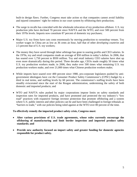built-in design flaws. Further, Congress must take action so that companies cannot avoid liability and injured consumers' right for redress in our court system by offshoring their production;

- The surge in recalls has coincided with the wholesale relocation of toy production offshore. U.S. toy production jobs have declined 70 percent since NAFTA and the WTO, and over 500 percent from their 1970s levels. Imports now constitute 87 percent of domestic toy purchases;
- Major U.S. toy firms have cuts costs enormously by moving production to sweatshop venues. Toy worker wages in China are as low as 36 cents an hour, half that of other *developing countries* and 2.5 percent that of U.S. toy workers;
- The money they have saved through labor arbitrage has gone to soaring profits and CEO salaries. In the 1970s, toy and retail companies made an average of \$50 million in today's dollars. In 2006, that has soared over 1,750 percent to \$930 million. Toy and retail industry CEO salaries have shot up even more dramatically during this period. Three decades ago, CEOs made roughly 50 times what U.S. toy production workers made; in 2006, they make over 500 times what remaining U.S. toy production workers make, and over 21,000 times what Chinese production workers make;
- While imports have soared over 400 percent since 1980, pro-corporate legislators pushed by antigovernment ideologues have cut the Consumer Product Safety Commission's (CPSC) budget by a third in real terms, and staffing levels by 60 percent. The commission's staffing levels have been steadily eviscerated since the start of the Reagan administration, undermining the safety of both domestic and imported products; and
- WTO and NAFTA rules pushed by major corporations impose limits on safety standards and inspection rates for imported products, and have promoted and protected the toy industry's "low road" practices with expansive foreign investor protection that promote offshoring and a system where U.S. public interest and other policies can be and have been challenged in foreign tribunals as "barriers to trade," with our policies being ruled against at the WTO over 80 percent of the time.

#### **To effectively remedy the imported product safety crisis, Congress must:**

- **Alter various provisions of U.S. trade agreements, whose rules currently encourage the offshoring of manufacturing and limit border inspection and imported product safety standards; and**
- **Provide new authority focused on import safety and greater funding for domestic agencies responsible for product safety.**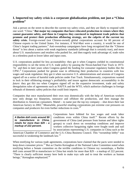# **I. Imported toy safety crisis is a corporate globalization problem, not just a "China problem"**

Ask a person on the street to describe the current toy safety crisis, and they are likely to respond with one word: "China." **But major toy companies that have relocated production to venues where they cannot guarantee safety, and those in Congress they convinced to implement trade policies that promote and protect their production offshoring strategy, are the culprits of the current toy** safety crisis. Foreign-owned (not Chinese-owned) global corporations account for 60 percent of Chinese exports to the United States. For instance, if Wal-Mart were a country, it would be one of China's largest trading partners.<sup>[6](#page-29-5)</sup> Anti-sweatshop campaigners have long recognized that the "Chinese" threat" is less about a nation with weak regulatory standards (although that is certainly true), and more about U.S. manufacturers and retailers who pushed for, and then eagerly took advantage of, trade rules in a relentless push to lower labor and input costs.

U.S. corporations pushed for less accountability: they got it when Congress yielded its constitutional responsibility to set the terms of U.S. trade policy by passing the Nixon-hatched Fast Track in 1973-  $74<sup>7</sup>$  $74<sup>7</sup>$  and then in later years when Congress gutted the funding for consumer regulatory bodies like the CPSC.<sup>[8](#page-29-7)</sup> Corporations pushed for greater ease in offshoring their production to countries with low wages and weak regulation: they got it when successive U.S. administrations and sessions of Congress signed off on a series of harmful trade policies under Fast Track. Simultaneously, corporations wanted to lock in their offshoring strategy's profitability and insure against democratic accountability *in the future*: they got this too when Congress signed off on the expansive investment, trade and safety deregulation rules of agreements such as NAFTA and the WTO, which authorize challenges in foreign tribunals of domestic safety policies that could limit imports.

Companies that once manufactured their own toys domestically with the help of American workers now only design toy blueprints, outsource and offshore the production, and then manage the distribution to American consumers. Mattel – to name just the top toy company – shut down their last Americanfactory in 2002.<sup>9</sup> Meanwhile, powerful retailing corporations put extreme cost pressures on companies and producers for even further reductions in costs.<sup>[10](#page-29-9)</sup>

*A Barbie doll costs around \$9 to manufacture in China, retails for more than \$29 – a markup of 222 percent.*

Corporations have lobbied for low wages and weak labor conditionseven within China its[elf.](#page-29-10)<sup>11</sup> Recent efforts by the government of China (and pressure from human and labor rights groups) to crack down on sweatshop conditions and improve workers collective bargaining rights were fought tooth and nail by associations representing U.S. companies in China such as the

American Chamber of Commerce and the U.S.-China Business Council. This "sweatshop lobby" was successfulin weakening the landmark law.<sup>12</sup>

When testifying for various trade agreements, corporations have claimed that the pacts were needed to keep down consumer prices.<sup>[13](#page-29-12)</sup> But as Charles Kernaghan of the National Labor Committee noted when testifying before a Senate committee on the terrible conditions in Chinese toy sweatshops, a Barbie doll costs around \$9 to manufacture in China but retails for more than \$29 – a markup of 222 percent. "There is clearly sufficient money here both to make toys safe and to treat the workers as human beings," Kernaghan emphasized.<sup>[14](#page-29-13)</sup>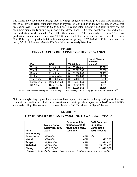The money they have saved through labor arbitrage has gone to soaring profits and CEO salaries. In the 1970s, toy and retail companies made an average of \$50 million in today's dollars. In 2006, that has soared over 1,750 percent to \$930 million.<sup>[15](#page-29-14)</sup> Toy and retail industry CEO salaries have shot up even more dramatically during this period. Three decades ago, CEOs made roughly 50 times what U.S. toy production workers made;<sup>[16](#page-29-15)</sup> in 2006, they make over 500 times what remaining U.S. toy production workers make, $^{17}$  $^{17}$  $^{17}$  and over 21,000 times what Chinese production workers make. Disney CEO Robert Iger is paid a \$23.6 million compensation package;<sup>[18](#page-29-17)</sup> Wal-Mart CEO Lee Scott receives nearly \$29.7 million; and Mattel CEO Bob Eckert earns nearly \$6 million.

| Firm             | <b>CEO</b>              | 2006 Salary      | <b>No. of Chinese</b><br>workers'<br>wages\$ |
|------------------|-------------------------|------------------|----------------------------------------------|
| Target           | <b>Robert Ulrich</b>    | \$<br>36,428,691 | 48,572                                       |
| Wal-Mart         | Lee Scott               | \$<br>29,672,533 | 39,563                                       |
| Disney           | Robert Iger*            | \$<br>23,600,000 | 31,467                                       |
| Hasbro           | Al Verrecchia           | \$<br>8,406,288  | 11,208                                       |
| Toys R Us        | Gerald Storch#          | \$<br>7,186,713  | 9,582                                        |
| Mattel/Fisher Pr | <b>Robert Eckert</b>    | \$<br>5,994,559  | 7,993                                        |
| RC2 Corp         | <b>Curtis Stoelting</b> | \$<br>1,377,978  | 1,837                                        |
|                  | Average                 | \$<br>16,095,252 | 21,460                                       |

#### **FIGURE 1 CEO SALARIES RELATIVE TO CHINESE WAGES**

*Source: SEC Proxy Reports; \*WSJ CEO Compensation Survey ;^ Salary.Com; \$Worker Rights Consortium[19](#page-29-18)*

Not surprisingly, large global corporations have spent millions in lobbying and political action committee expenditures to lock in the considerable privileges they enjoy under NAFTA and WTOstyle trade policy. The toy safety crisis was "Made in D.C.," as shown in Figure 2 below.

### **FIGURE 2 TOY INDUSTRY BUCKS IN WASHINGTON, SELECT YEARS**

| <b>Firm</b>         | <b>Money Spent</b><br>Lobbying, 1998-<br>2004 | <b>Percent of lobby</b><br>filings related to<br>trade and safety,<br>1998-2004 | <b>PAC Donations</b><br>to Federal<br>Candidates,<br>1998-present |  |
|---------------------|-----------------------------------------------|---------------------------------------------------------------------------------|-------------------------------------------------------------------|--|
| <b>Toy Industry</b> |                                               |                                                                                 |                                                                   |  |
| <b>Association</b>  | \$400,000                                     | 85%                                                                             | n/a                                                               |  |
| <b>Mattel</b>       | \$620,000                                     | 66%                                                                             | \$92,750                                                          |  |
| <b>Target</b>       | \$1,280,000                                   | 44%                                                                             | \$820,915                                                         |  |
| <b>Wal-Mart</b>     | \$4,590,000                                   | 18%                                                                             | \$5,185,850                                                       |  |
| <b>Disney</b>       | \$23,626,800                                  | 12%                                                                             | \$1,670,557                                                       |  |

*Source: Center for Public Integrity; Center for Responsive Politics; data for years available*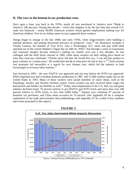#### **II. The race to the bottom in toy production costs**

Once upon a time, way back in the 1970s, nearly all toys purchased in America were "Made in America" (86 percent). During that decade – which also happens to be the last time that overall U.S. trade was balanced – nearly 60,000 American workers found gainful employment making toys for American children. Five-in-six dollars spent on toys supported these workers.

Things began to change in the late 1960s and early 1970s, when mega-retailers were building a national presence, and putting downward pressure on producers' costs.<sup>[20](#page-29-19)</sup> An illustrative example is Charles Lazarus, the founder of Toys R'Us, once a Washington, D.C. mom and pop outfit (that operatedout of the current Madam's Organ Bar on 18th St.,  $NW)^{21}$  that through a series of expansions and corporate mergers became America's leading toy retailer over just a few decades. As one colleague told the *Wall Street Journal* in 1985, while many retailers set their selling price based on what they must pay wholesale, "Charles never did that. He would first say, 'I can sell this product in greatvolumes at a certain price.' He would *then* decide at what price he had to buy it."<sup>22</sup> Such extreme cost pressures led inexorably to a search for ever cheaper toys, which led the industry to look increasingly to overseas labor markets. $^{23}$  $^{23}$  $^{23}$ 

Fast forward to 1993 – the year NAFTA was approved and one year before the WTO was approved. While imported toys had overtaken domestic production in 1987, *still* 27,000 workers made toys in the United States in 1993. Many of these workers were proud members of union shops, such as the Playthings, Jewelry and Novelty Workers Union. Union workers not only received better wages but hadpension and health care benefits as well.<sup>24</sup> Today, total employment in the U.S. doll, toy and game industry declined nearly 70 percent relative to pre-NAFTA and WTO levels and more than over 500 percent relative to 1970s levels, to less than 9,000 today.<sup>[25](#page-29-24)</sup> Imports now constitute 87 percent of domestic toy purchases, and China alone accounts for 74 percent. (See Appendix III for a complete explanation of our trade and economic data methodology; and Appendix IV for a table of key numbers and events presented in this report.)



*Source: Annual Survey of Manufactures; UN Comtrade*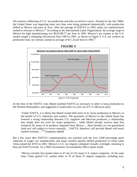The massive offshoring of U.S. toy production and jobs occurred in waves. Already by the late 1980s, the United States was importing more toys than were being produced domestically, with production shifted to Mexico and parts of Asia. After the passage of NAFTA in 1993, major toy manufacturers rushed to relocate to Mexico.<sup>[26](#page-29-25)</sup> According to the International Labor Organization, the average wage in Mexico for light manufacturing was \$0.65-\$0.77 per hour in 1993. Mexico's toy exports to the U.S. market surged a whopping 264 percent from 1993 to 2001, as shown in Figure 4. U.S. toy workers on production lines, by contrast, earned an average of \$11.24 per hour in 1993.<sup>[27](#page-29-26)</sup>



#### **FIGURE 4**

At the time of the NAFTA vote, Mattel justified NAFTA as necessary in order to keep production in the Western Hemisphere, and suggested it would usher in a new era of U.S.-Mexican unity:

"Under NAFTA, it is likely that Mattel would shift more of its Asian production to Mexico, to the benefit of U.S. industries and workers. The proximity of Mexico to the United States has fostered a strong relationship between U.S. suppliers and Mexican producers, a relationship that simply does not exist for Asian production… while Mattel already receives duty free treatment for many of its products imported from Mexico… *these benefits are not guaranteed [and are] still subject to review annually*… NAFTA, therefore, will provide Mattel *with much needed certainty*…"[28](#page-29-27) [emphasis added]

But a few years after NAFTA's implementation, not satisfied with the over 2,000 percentage point reduction in wages, toy manufacturers and major retailers quickly shifted production to China when China joined the WTO in 2001. Mexico's U.S. toy imports collapsed virtually overnight, returning to their pre-NAFTA levels. As a 2003 Government Accountability Office report noted:

"Mexico recently lost market share in 47 out of 152 major U.S. import categories. At the same time, China gained U.S. market share in 35 of those 47 import categories, including toys,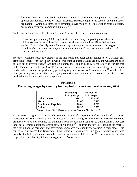furniture, electrical household appliances, television and video equipment and parts, and apparel and textiles. Some of these industries represent significant sectors of *maquiladora* production… China has competitive advantages over Mexico in terms of labor costs, electricity costs, and diversity of component suppliers."<sup>[29](#page-29-28)</sup>

As the International Labor Rights Fund's Bama Athreya told a congressional committee,

"There are approximately 8,000 toy factories in China today, employing more than three million workers. Most of these factories and workers are in the Pearl River Delta area of southern China. Virtually every American toy company produces its wares in this region. Mattel, Hasbro, Fisher-Price, Toys R Us, and Disney are all well documented end users of China's toy factories."<sup>[30](#page-29-29)</sup>

Moreover, workers frequently breathe in the lead paint and other toxins applied to toys without any protection,<sup>[31](#page-29-30)</sup> many work seven days a week for months at a time with no das off, and workers are often cheated out of overtimepay.<sup>32</sup> (*See* Box on Thomas the Tank on page 13 for the story of workers that make Thomas the Tank toys.) As Figure 5 shows, corporations sourcing from China face a labor marketwhere workers are paid hourly prevailing wages of as low as  $36$  cents an hour,  $33$  which is less than prevailing wages in other developing countries, and a mere 2.5 percent of what U.S. toy production workers are paid on average today.

|                           | <b>Prevailing</b><br>hourly wage | <b>Percent of</b><br>U.S. wage |  |
|---------------------------|----------------------------------|--------------------------------|--|
| <b>United States</b>      | \$14.26                          | 100.0%                         |  |
| <b>Mexico</b>             | \$1.05                           | 7.4%                           |  |
| <b>Dominican Republic</b> | ዩበ ጸ1                            | 5.7%                           |  |

# **FIGURE 5**

# **Prevailing Wages by Country for Toy Industry or Comparable Sector, 2006**

**China** \$0.36 2.5% *Source: Worker Rights Consortium; Annual Survey of Manufactures[34](#page-29-33)*

As a 1998 Congressional Research Service survey of corporate leaders concluded, "specific motivations of American companies for investing in China vary greatly from sector to sector. For some producers of toys and clothing, for example, a primary attraction has been to utilize China's low-cost labor for assembly operations geared toward exporting."<sup>[35](#page-29-34)</sup> Far from the invisible hand of the market, the visible hand of corporate and government-sponsored violence keeps workers in their place. This can be seen in places like Shenzhen, China, where a worker active in a local workers' center was brutally attacked by goons in November, and the government did not react.<sup>[36](#page-29-35)</sup> (For more detail on why corporations are choosing China, see Appendix I: "Why China?")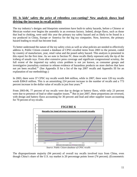# **III. Is kids' safety the price of relentless cost-cutting? New analysis shows lead driving the increase in recall activity**

The toy industry's designs and blueprints sometimes have built-in safety hazards, before a Chinese or Mexican worker ever begins the assembly in an overseas factory. Indeed, *design* flaws, such as those that lead to choking, were until this year the primary toy safety hazard and as likely to be found in a toy produced in China, Europe *or* America for the big toy companies. Now, however, the primary hazard leading to recall has become lead.

To better understand the nature of the toy safety crisis as well as what policies are needed to effectively address it, Public Citizen created a database of CPSC-recalled items from 2003 to the present, coded by country of manufacture, year, retail value and the posed safety hazard. This analysis is presented in this report for the first time. As we note in Section IV, these recalls likely represent only the tip of the iceberg of unsafe toys. Even after extensive press coverage and significant congressional scrutiny, the full extent of the imported toy safety crisis problem is not yet known, as consumer groups and investigative journalists continue to release evidence of hazardous products on store shelves that have not yet been recalled.<sup>[37](#page-29-36)</sup> (See Appendix II for a list of the top 2007 recalls and Appendix III for an explanation of our methodology.)

In 2003, there were 37 CPSC toy recalls worth \$44 million, while in 2007, there were 120 toy recalls worth \$384.8 million. This is an astonishing 224 percent increase in the number of recalls and a 773 percent increase in the dollar value of recalls in just four years.<sup>[38](#page-29-37)</sup>

From 2003-06, 77 percent of toy recalls were due to design or battery flaws, while only 23 percent were due to presence of lead or other supplier issues.<sup>[39](#page-29-16)</sup> But in just 2007, these proportions are reversed, with design and battery flaws accounting for 30 percent and lead and other supplier issues accounting for 70 percent of toy recalls.



*Source: Public Citizen database of CPSC recalls*

The disproportionate majority (94 percent) of overall toy recalls involved toys from China, even though China's share of the U.S. toy market is 20 percentage points lower (74 percent). (Econometric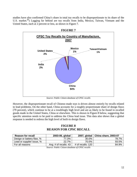studies have also confirmed China's share in total toy recalls to be disproportionate to its share of the U.S. market.<sup>[40](#page-29-17)</sup>) Lagging far behind are toy recalls from India, Mexico, Taiwan, Vietnam and the United States, each at 2 percent or less, as shown in Figure 7.



*Source: Public Citizen database of CPSC recalls*

However, the disproportionate recall of Chinese-made toys is driven almost entirely by recalls related to lead problems. On the other hand, China accounts for a roughly proportionate share of design flaws (79 percent), which continue to be at a troublingly high level and are as likely to be found in recalled goods made in the United States, China or elsewhere. This is shown in Figure 8 below, suggesting that specific attention needs to be paid to address the China lead issue. This data also shows that a global response is needed to redress the high level of built-in design flaws.

# **FIGURE 8 REASON FOR CPSC RECALL**

| <b>Reason for recall</b>  | 2003-06, global         |                   | 2007, global   China share, 2003-07 |
|---------------------------|-------------------------|-------------------|-------------------------------------|
| Design or battery flaw, % | 77.3%                   | 30.0%             | 78.7%                               |
| Lead or supplier issue, % | 22.7%                   | 70.0%             | 93.5%                               |
| For all reasons           | Avg. # of recalls: $43$ | # of recalls: 120 | 84.9%                               |

*Source: Public Citizen database of CPSC recalls*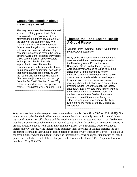# **Companies complain about mess they created**

The very companies that have offshored so much U.S. toy production in fact complain when the government has attempted to hold them accountable for the safety of the toys they sell. *The Washington Post,* in a story about a federal lawsuit against toy companies selling unsafe toys, reported one toy company executive as saying the federal actions "were unfair because they 'place a 100 percent burden on wholesalers and importers that is physically impossible to meet.' He said his company, which sells thousands of toys to major retailers nationwide, has to trust that manufacturers are complying with the regulations. Like most wholesalers, [this company] imports most of the toys from the Far East." *See* Lori Silver, "Toy retailers, importers sued over product safety," *Washington Post,* Aug. 21, 1990.

# **Thomas the Tank Engine Recall: A Global Fiasco**

*Adapted from National Labor Committee's congressional testimony:*

Many of the Thomas & Friends toy trains that were recalled due to lead were produced at the Hansheng Wood Product factory in Dongguan, China. In that factory, workers were regularly mandated to toil up to 16-hour shifts, from 8 in the morning to nearly midnight, sometimes with not a single day off over an entire month. While required to put in long hours of overtime, the workers were routinely cheated out of around a sixth of their overtime wages. After the recall, the factory shut down. 1,500 workers were laid off without the majority of severance owed them. It is unclear if any of these fired workers were screened to see if they are suffering the affects of lead poisoning. Thomas the Tank Engine toys are made by the RC2 global toy corporation.

Why has there been such a steep increase in lead-related recalls (from 37 in 2003 to 120 in 2007)? One explanation may be that the lead has always been out there but has simply gone undiscovered due to toy manufacturers' lax self-policing and the inability of the CPSC to test toys. But it may also be true that there is an increased reliance on cheaper lead paints in China driven by U.S. companies' efforts to procure sweatshop goods from China at the same low prices, even as Chinese wages continue to increase slowly. Indeed, wage increases and persistent labor shortages in Chinese factories led one economistto conclude that China's "golden period of extremely low-cost labor" is over.<sup>41</sup> To make up for paying higher wages, manufacturers may be increasingly relying on cheaper inputs such as leaded paint,which sells for a third of the cost of paint with lower levels of lead.<sup>42</sup> (See Appendix I for more details on "Why China?")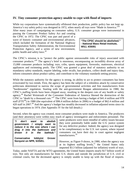#### **IV. Tiny consumer protection agency unable to cope with flood of imports**

While toy corporations have systematically offshored their production, public policy has not kept up. America's toy safety policy was designed in 1972, when nearly all toys were "Made in America."<sup>[43](#page-29-39)</sup> After many years of campaigning on consumer safety, U.S. consumer groups were instrumental in

passing the Consumer Product Safety Act and creating the CPSC in 1972. The CPSC was part and parcel of a wave of historic consumer and environmental advances, which included the formation of the National Highway Transportation Safety Administration, the Environmental Protection Agency, and a series of new environment, public health and safety laws.<sup>[44](#page-29-40)</sup>

**"The CPSC should be abolished." - National Mass Retail Institute, WSJ, 4/30/81**

The CPSC's mission is to "protect the public against unreasonable risks of injury associated with consumer products."[45](#page-29-41) The agency's brief is enormous, encompassing an incredibly diverse array of 15,000 consumer products including: toys, cribs, sports equipment, fireworks, mattresses, electrical appliances and swimming pools. The CPSC was granted a great deal of statutory authority to set mandatory safety standards, require labeling, order recalls, ban products, collect death and injury data, inform consumers about product safety, and contribute to the voluntary standards setting process.

While the statutory authority for the agency is strong, its ability to act to protect consumers has been eviscerated by two trends. First, the agency has been the subject of a relentless attack by conservative politicians determined to narrow the scope of governmental activities and free manufacturers from "burdensome" regulation. Starting with the anti-government Reagan administration in 1980, the CPSC's staffing levels have been chipped away, resulting in the deepest cuts of any health or safety agency. [46](#page-29-42) Rachel Weintraub of the Consumer Federation of America likened the destruction of the CPSC to "death by a thousand cuts."[47](#page-29-43) The CPSC went from having a budget of \$41.4 million and 978 staff(FTE<sup>48</sup>) in 1980 (the equivalent of \$96.4 million dollars in 2006) to a budget of \$62.4 million and 420 staff in 2007.<sup>[49](#page-29-21)</sup> And the agency's budget has steadily decreased in inflation-adjusted terms since its began operations in 1974. (See Appendix IV for the full details.)

Second, when the agency was created, most consumer products were made in America. The producers (and their attorneys) were within easy reach of agency investigative and enforcement personnel. The

|                                                                              |  |  |  |  | $\begin{vmatrix} u \\ v \end{vmatrix}$ don't want to abolish $\begin{vmatrix} 0 \\ 0 \end{vmatrix}$                                                                                       |  |
|------------------------------------------------------------------------------|--|--|--|--|-------------------------------------------------------------------------------------------------------------------------------------------------------------------------------------------|--|
|                                                                              |  |  |  |  | $\mid$ government. I simply want to $\parallel$                                                                                                                                           |  |
|                                                                              |  |  |  |  | reduce it to the size where I can                                                                                                                                                         |  |
|                                                                              |  |  |  |  |                                                                                                                                                                                           |  |
|                                                                              |  |  |  |  | $\begin{vmatrix} \text{drag} & \text{it} & \text{into} & \text{the} & \text{bathroom} & \text{and} \\ \text{drown} & \text{it} & \text{in} & \text{the} & \text{bathtub."} \end{vmatrix}$ |  |
|                                                                              |  |  |  |  |                                                                                                                                                                                           |  |
| $\mid$ Conservative Iobbyist Grover $\parallel$<br>Norquist on NPR, 5/25/01. |  |  |  |  |                                                                                                                                                                                           |  |

same producers were more mindful of safety issues because they were potentially liable under the U.S. justice system for any defective product. Indeed, the agency was designed to be complimentary to the U.S. tort system, where injured consumers can have their day in court against negligent manufacturers.<sup>[50](#page-29-24)</sup>

However, as Figure 9 shows, in 1980, when the agency was atits highest staffing leve[ls,](#page-29-25) $51$  the United States only imported \$3.3 billion (adjusted for inflation) worth of toys.

Today, under NAFTA and the WTO agreements, the United States imports nearly \$17 billion worth of toys. Not only are manufacturers far from U.S. shores and outside the jurisdiction of U.S. civil or criminal courts, but the decimated agency is simply unable to keep up with the flood of imports.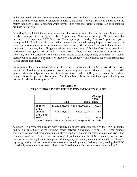Unlike the Food and Drug Administration, the CPSC does not have a "stop button" or "hot button" which allows it to halt trade in dangerous imports at the border without first having a hearing on the matter, nor does it have a program which permits it to visit and inspect overseas facilities shipping products to America.

According to the CPSC, the agency has no staff that work full-time at any of the 326 U.S. ports, and mostly focus part-time energies on Los Angeles and New York, leaving 324 ports virtually unchecked.[52](#page-29-26) A September 2007 *New York Times* exposé put it starkly: "In Los Angeles area ports, through which 15 million truck-size containers move a year, a single agency inspector, working two or three days a week, spot-checks incoming shipments. Agency officials would not permit the inspector to speak with a reporter, but colleagues said her assignment was all but hopeless. 'It is completely ineffective,' one agency official said… In New York harbor, a safety commission inspector rarely shows up, said two customs officers who check imports to see if they comply with trade laws. Asked recently when he last saw a commission inspector, Ted Fronckowiak, a customs supervisor, responded: 'It was around December."<sup>[53](#page-29-45)</sup>

As is graphically demonstrated below, in the era of globalization, the CPSC is overwhelmed with imports and faced with the impossible task of monitoring toy imports which have surged over 400 percent, while its budget was cut by a third in real terms, and its staff by sixty percent. Meanwhile, incomprehensible opposition by current CPSC Chair Nancy Nord for additional agency funding has resulted in calls for her resignation.<sup>[54](#page-29-46)</sup>

|                            | 1980            | 2006             | Change<br>1980-<br>2006 |
|----------------------------|-----------------|------------------|-------------------------|
| <b>Imports</b>             | \$3,267,835,006 | \$16,971,999,361 | 419%                    |
| <b>CPSC</b><br>budget      | \$96,331,511    | \$62,370,000     | $-35%$                  |
| <b>CPSC staff</b><br>level | 978             | 401              | -60%                    |

# **FIGURE 9 CPSC BUDGET CUT WHILE TOY IMPORTS SURGE**

*Source: Consumer Federation of America; News reports; UN Comtrade*

Although it is a very small agency with virtually no border inspection capacity, the CPSC generally had been a trusted part of the consumer safety network. Consumers rely on CPSC recall notices, especially for toys and other important children's products, such as car seats, strollers and cribs. The combined trends of U.S. toy firms' offshoring of production and the CPSC's inability to deal with imports have done significant damage to both the agency and the toy companies' reputations. Flaws in toy design and production generally have been discovered by the toy industry itself, leaving the CPSC to basically serve the role as press officer to the flawed attempts by the industry to regulate itself.<sup>[55](#page-29-27)</sup>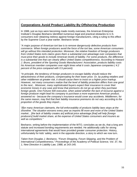# **Corporations Avoid Product Liability By Offshoring Production**

In 1988, just as toys were becoming made mostly overseas, the American Enterprise Institute's Douglas Besharov identified numerous legal and practical obstacles to U.S. consumers ever obtaining redress against foreign manufacturers, citing a ruling to this effect by the Supreme Court a year earlier. Besharov wrote:

"*A major purpose of American tort law is to remove dangerously defective products from commerce. When foreign producers avoid the force of the tort law, some American consumers will go without this intended protection. Moreover, the relative freedom of foreign producers from United States torts claims gives them a substantial cost advantage over companies that must price their goods to include American levels of liability. For some products, the difference is a substantial one that can clearly affect United States competitiveness. According to Howard J. Bruns, president of the Sporting Goods Manufacturers' Association, products liability costs his American member companies over eight times what it costs Japanese companies ( 4.2 percent of the price compared with 0.5 percent).*

*"In principle, the tendency of foreign producers to escape liability should reduce the attractiveness of their products, compensating for their lower price. Or, by putting retailers and other middlemen at greater risk, it should cause them to insist on a higher price markup. However, not many consumers realize that the level of liability protection differs from one good to the next... Moreover, many sophisticated buyers expect their insurance to cover their economic losses in any case and know that premiums do not go up when they purchase foreign goods. One Fortune 500 executive, when asked whether the lack of recourse against a foreign producer might lead his company to purchase a more expensive American product, answered no - because the company's insurance would cover any accidents. Middlemen, for the same reason, may find that their liability insurance premiums do not vary according to the proportion of the goods they import...*

*"[f]or many American claimants, the full enforceability of products liability laws stops at the shoreline. The situation worsens every year as imports fill more and more of the United States market... [the lack of liability creates an] artificial price advantage [that] will help [foreign producers] build market share, at the expense of United States consumers and insurers as well as competitors."*

Besharov, writing before the implementation of the WTO, concludes as we do, that a long arm statute and increased bonding requirements are needed. He additionally calls for strong international agreements that would have provided greater consumer protection. History, unfortunately for kids' safety, went in the opposite direction, a story to which we now turn.

*Taken from Douglas J. Besharov, "Forum Shopping, Forum Skipping, and the Problem of International Competitiveness," Proceedings of the Academy of Political Science, Vol. 37, No. 1, New Direction in Liability Law, 1988, at 143-145.*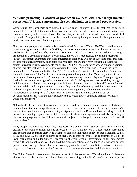# **V. While promoting relocation of production overseas with new foreign investor protections, U.S. trade agreements also contain limits on imported product safety**

Corporations have systematically pursued a "low road" business strategy that has eviscerated democratic oversight of their operations, consumers' right to seek redress in our court system, and economic security at home and abroad. The toy safety crisis that has resulted is not some accident of the "market" simply doing its job: it has been enabled directly by a generation of public policy, and in particular, ever more draconian trade policy.

How has trade policy contributed to this state of affairs? Both the WTO and NAFTA, as well as more recent trade agreements modeled on NAFTA, contain strong investor protections that encourage the offshoring of U.S. production by removing various costs and risks otherwise associated with locating production in a developing country. For instance, the WTO's Trade Related Investment Measures (TRIMs) agreement guarantees that firms interested in offshoring will not be subject to measures such as local content requirements, trade balancing requirements or export restrictions that developing countries frequently employed prior to the WTO. NAFTA's investor protections, an expanded version of which are also included in the Central America Free Trade Agreement (CAFTA) and the three pending U.S. FTAs, go even further. The NAFTA-style foreign investor rules guarantee a "minimum standard of treatment" that "host" countries must provide foreign investors, [56](#page-29-47) and they eliminate the uncertainty of having to use "host" country courts to settle many common disputes. These pacts grant foreign investors a private right of action to enforce their "trade" agreement investor rights, through which they can challenge government policies in international tribunals at the World Bank and United Nations and demand compensation for measures they consider to have impaired their investment. This includes compensation for lost profits when government regulatory policy undermines their "expectation of gain or profit."<sup>[57](#page-29-31)</sup> Under NAFTA, around \$35 million has been paid out by governments in cases relating to toxic substance bans, logging rules, operating permits for a toxic waste site, and more.  $58$ 

Not only do the investment provisions in various trade agreements extend strong protections to manufacturers that encourage them to move overseas, perversely, our current trade agreements *also* impose limits on domestic regulatory policy of signatory countries. Domestic laws providing a level of protection extending beyond that which is allowed in these trade agreements and also resulting in imports being kept out of the U.S. market are all subject to challenge in trade tribunals as "non-tariff trade barriers."

Many people are surprised when they first learn that actual *trade between countries* is only one element of the policies established and enforced by NAFTA and the WTO. These "trade" agreements also require that countries alter wide swaths of domestic non-trade policy or face sanctions. A key WTO and NAFTA provision requires each signatory country to ensure the conformity of all of its laws, regulations and administrative procedures at every level of government to the agreements' terms.<sup>[59](#page-29-48)</sup> If they do not, other WTO and NAFTA signatory nations can challenge U.S. national or local policies before foreign tribunals for failure to comply with the pacts' terms. Nations whose policies are judged to be "non-tariff trade barriers" are ordered to eliminate them or face indefinite trade sanctions.

The United States has been the number one target of challenges at the WTO, where domestic laws are almost always ruled against in tribunal hearings. According to Public Citizen's ongoing tally, the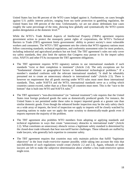United States has lost 86 percent of the WTO cases lodged against it. Furthermore, on cases brought against U.S. public interest policies, ranging from sea turtle protection to gambling regulation, the United States lost 100 percent of the time. Unfortunately, we are not alone: defendants lose cases roughly the same percentage of the time, showing how globally and systematically the WTO system pushes deregulation at the domestic level. $60$ 

While the WTO's Trade Related Aspects of Intellectual Property (TRIPs) agreement requires government action to protect the monopoly patent rights of corporations, the WTO's Technical Barriers to Trade (TBT) agreement limits governments' ability to protect society's most vulnerable workers and consumers. The WTO's TBT agreement sets the criteria that WTO signatory nations must follow concerning standards, technical regulations, and conformity assessment rules for most products, including industrial and agricultural products but not food. The TBT agreement's rules not only cover toy safety standards, they also limit the options that Congress may pursue to fix the import safety crisis. NAFTA and other FTAs incorporate the TBT agreement obligations.

- The TBT agreement requires WTO signatory nations to use international standards if such standards "exist or their completion is imminent" (Article 2.4). The only exceptions are for "fundamental climatic or geographical factors or fundamental technological problems." If a member's standard conforms with the relevant international standard, "it shall be rebuttably presumed not to create an unnecessary obstacle to international trade" (Article 2.5). There is however no requirement that all goods moving under WTO rules must meet these international standards. Thus, under NAFTA and the WTO, international standards serve as a *ceiling* which countries cannot exceed, rather than as a floor that all countries must meet. This is the "race to the bottom" that is built into WTO and NAFTA rules.<sup>[61](#page-29-50)</sup>
- The TBT agreement's "non-discrimination" (or "national treatment") rule requires that the United States treat foreign produced goods the same as domestically produced goods. For instance, the United States is not permitted under these rules to inspect imported goods at a greater rate than similar domestic goods. Even though the enhanced border inspection may be the only safety check on a wide array of imports, the level of inspection we apply to imports will be closely watched by exporting nations to make sure we apply the same scrutiny to domestically-made goods even if imports represent the majority of the problem.
- The TBT agreement also prohibits WTO members from adopting or applying standards and technical regulations in ways that create "unnecessary obstacles to international trade" (Article 2.2). What constitutes an unnecessary obstacle versus a legitimate safety standard is determined by the closed-door trade tribunals that hear non-tariff barrier challenges. These tribunals are staffed by trade lawyers, who generally lack expertise in consumer safety.
- The TBT agreement requires that countries may only maintain policies that fulfill "legitimate objectives" in the *least trade-restrictive* manner possible, while taking into account the risks that non-fulfillment of such regulations would create (Article 2.2 and 2.3). Again, tribunals of trade lawyers are left to make the subjective determination about whether a less trade-restrictive option might exist.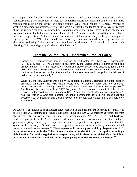As Congress considers an array of regulatory measures to address the import safety crisis, such as mandatory third-party inspection for toys, few congressmembers are cognizant of the fact that these requirements could be the subject of a trade dispute. What would happen if Congress refused to weaken a new imported product safety law if it were successfully challenged at the WTO? WTO rules allow the winning countries to impose trade sanctions against the United States *until* we change our law as ordered for the full amount of trade that is affected. Alternatively, the United States can offer to negotiate compensation. That would mean, for instance, if China successfully challenged an imported toy safety law at the WTO, the United States must pay China not to send unsafe toys to us as an alternative to having China impose trade sanctions on whatever U.S. economic sectors of their choosing. China would get to pick which option it desires.<sup>[62](#page-29-36)</sup>

# **From the Source… WTO Undermines Product Safety**

Former U.S. representative James Bacchus (D-Fla.) noted that three WTO agreements (GATT, SPS and TBT) would apply to any effort by the United States to increase food and product safety. "If, in their actions on health and safety issues, they choose to ignore their obligations under these three WTO agreements, they could face costly economic sanctions in the form of lost access to the other's market. Such sanctions could range into the billions of dollars in lost sales annually."[63](#page-29-16)

While in Congress, Bacchus was a big WTO booster, exuberantly claiming in his floor speech on implementation of the WTO that it would lead "to workers' rights and environmental protections and all of the things that all of us in both parties want for the American people."<sup>[64](#page-29-51)</sup> The Democratic leadership of the 103<sup>rd</sup> Congress, after having just lost control of the House thanks to voter revolt over their support of NAFTA and other middle-class squashing policies,  $65$ held this vote in a lame-duck session. Bacchus, a Democrat, gave up his House seat and became a WTO tribunalist and a trade lawyer, and his seat was seized and is still held by a Republican.<sup>[66](#page-29-18)</sup>

Of course, even though such challenges have occurred in the past and are occurring presently, it is possible that U.S. diplomatic pressure could keep China or other WTO member governments from challenging U.S. toy safety laws. But under the aforementioned NAFTA, CAFTA and NAFTAmodeled agreements with Peru, Panama and other countries, investors can directly challenge government policy for taxpayer compensation. Indeed, corporations are pushing the investor-state system further in every U.S. trade pact, to the point where even social security systems and natural resource concessions are covered.<sup>[67](#page-29-52)</sup> These expansive investor rights, which go beyond what U.S. **corporations operating in the United States are allowed under U.S. law, are rapidly becoming a global** *ceiling* **for public regulation of corporations, while there is no global** *floor* **for labor, environmental and safety standards in the ongoing, corporate-driven race to the bottom. [68](#page-29-40)**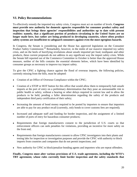# **VI. Policy Recommendations**

To effectively remedy the imported toy safety crisis, Congress must act on number of levels. **Congress must provide new authority for domestic agencies responsible for consumer product safety and inspection that brings these agencies' responsibilities and authorities up to date with present realities: namely, that a significant portion of products circulating in the United States are no longer made here, but rather are being produced in developing countries, where often product safety systems are insufficient to safeguard consumers against even the most egregious hazards.**

In Congress, the Senate is considering and the House has approved legislation on the Consumer Product Safety Commission.<sup>[69](#page-29-19)</sup> Remarkably, however, in the midst of our massive imported toy safety crisis, and on the heels of horrifying revelations about unsafe imported pet food, toothpaste and other products, these current proposals do not address in any significant way the import safety crisis. While the Senate bill reported out of the Commerce Committee in October is better than the approved House measure, neither of the bills contains the essential elements below, which have been identified by consumer groups as necessary to improve toy import safety.

To give the CPSC a fighting chance against the flood of overseas imports, the following policies, currently missing from the bills, must be adopted:

- Creation of an Office of Overseas Compliance within the CPSC;
- Creation of a STOP or HOT button for this office that would allow them to temporarily halt unsafe imports at the port of entry on a preliminary determination that they pose an unreasonable risk to public health or safety, without a hearing or other delays required in current law and to allow the products to be held, pending a fuller determination regarding the safety of the products and independent third party certification of their safety;
- Increasing the amount of bond money required to be posted by importers to ensure that importers are able to pay for any product recall (currently, only bonds to cover customs fees are required);
- Increased and adequate staff and funding for border inspection, and the assignment of a limited number of ports of entry for hazardous consumer products;
- Requirements that foreign manufacturers consent to the jurisdiction of U.S. courts so that enforcement officers can seek penalties for violations, providing an incentive for more safety on the front end;
- Requirements that foreign manufacturers consent to allow CPSC investigators into their plants and testing labs for inspection or investigation purposes and provide the CPSC with authority to block imports from countries and companies that do not permit inspections; and
- New authority for CPSC to block/penalize bonding agents and importers who are repeat offenders.

**Finally, Congress must alter various provisions of U.S. trade agreements, including the WTO's TBT agreement, whose rules currently limit border inspection and the safety standards that**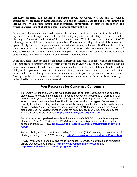**signatory countries can require of imported goods. Moreover, NAFTA and its various expansions to countries in Latin America, Asia and the Middle East need to be renegotiated to remove the investor-state system that incentivizes corporations to offshore production and provides a private right of action against domestic safety policies.**

Absent such changes in existing trade agreements and rejection of future agreements with such limits, any improvements Congress may make to U.S. policy regarding import safety could be exposed to challenge as "non-tariff trade barriers" before trade tribunals. With the exception of the recent WTO ruling against the U.S. Internet gambling ban, both Democratic and Republican administrations have systematically worked to implement such trade tribunal rulings, including a NAFTA order to allow access to all U.S. roads for Mexico-domiciled trucks, and WTO orders to weaken Clean Air Act and Endangered Species Act rules, among other examples. This readiness to acquiesce to trade agreement panels' orders to weaken our domestic public interest laws must stop.

In the past, most American anxiety about trade agreements has focused on jobs, wages and offshoring. The imported toys, product and food safety crisis has made vividly clear to many Americans that our current trade agreements and policies pose much broader threats to their safety and health – and the ability of their government to act in their interest. Changes to our current trade agreements and policies are needed to ensure that policies aimed at countering the import safety crisis are not undermined. More generally, such changes are needed to ensure public support for trade is not thoroughly undermined by our current toxic trade model.

# **Four Resources for Concerned Consumers**

To remedy our import safety crisis, we need to change our trade agreements and domestic safety laws. However, in the short term, if you are concerned about whether there is lead or other toxins in your toys, you can buy an inexpensive lead testing kit at your local hardware store. However, be aware that these kits do not work on all product types. Consumers Union recently tested lead testing products and found that many do not detect lead below the surface of toys (see http://blogs.consumerreports.org/safety/2007/10/testing-the-lea.html). You can also check out *The Consumer Action Guide for Toxic Chemicals in Toys*, produced by the Michigan-based Ecology Center: **<http://www.healthytoys.org/home.php>**

For an analysis of toy-related hazards and a summary of all CPSC toy recalls for the year, please see *Trouble in Toyland: The 22nd Annual Survey of Toy Safety*, produced by the consumer group U.S. PIRG: **[http://www.uspirg.org/issues/toy-safety/trouble-in-toyland](http://www.uspirg.org/issues/toy-safety/trouble-in-toyland-report)[report](http://www.uspirg.org/issues/toy-safety/trouble-in-toyland-report)**

For a full listing of Consumer Product Safety Commission (CPSC) recalls, or to receive recall alerts, you can go to the CPSC webpage: **<http://www.cpsc.gov/cpscpub/prerel/prerel.html>**

Finally, if you would like to buy toys Made in America, information is available on numerous private web resources including: **<http://www.toysmadeinamerica.com/>** and **<http://www.stillmadeinusa.com/toysngames.html>**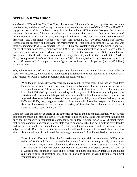# **APPENDIX I: Why China?**

As Mattel's CEO told the *New York Times* this summer, "there aren't many companies that own their own factories, and there aren't many companies that manufacture outside of China."[70](#page-29-44) The shift of U.S. toy production to China has been a long time in the making. 1972 was the first year that America imported Chinese toys, following President Nixon's visit to the country.<sup>[71](#page-29-53)</sup> China was first granted normal trade relations status in 1981, meaning it faced lower tariffs than a communist country would otherwise face. This status was renewed every year through 2001. By 1986, China was actively liberalizing its economy and lobbying for membership in what would become the WTO, and was rapidly expanding its U.S. toy exports. By 1991, China had overtaken Japan as the number one U.S. source of foreign-made toys. Throughout the 1990s, the Clinton administration passed nearly a dozen trade agreements with China,<sup>[72](#page-29-54)</sup> which continued to edge out other countries for U.S. toy market share. By the end of the decade, China accounted for a majority of toys sold in the United States.<sup>[73](#page-29-55)</sup> When Congress approved China's WTO membership in 2000, Chinese-produced toys *already* accounted for nearly 57 percent of U.S. toy purchases – a figure that has increased to 74 percent (nearly \$15 billion) since that time.

Why China? Because of its size, low wages, anti-democratic government, lack of labor rights or regulatory safeguards, and expansive manufacturing infrastructure established during its socialist past. The website for a China-sourcing specialist sells the country thusly:

"Why look at China? Obviously there are many countries other than China that are candidates for overseas sourcing. China, however, combines advantages that are unique to the world's most populous nation. These include: a. One of the world's lowest labor rates - Labor rates vary from about \$100-\$400 per month depending on the required skill. b. Abundant indigenous raw materials - Most raw materials you will need are available in China as native products. c. A huge well developed industrial base - China developed a highly self-sufficient industry. In the 1950s and 1960s, many large industrial facilities were built. From the perspective of a western observer there seems to be an amazing variety of factories that make the same kinds of industrial goods found in the U.S."<sup>[74](#page-29-56)</sup>

China provides the starkest example of the outcomes of race-to-the-bottom globalization. While global corporations made a pit stop in other low-wage markets like Mexico, China was different in that it not only had the capacity to manufacture components, but indeed required (prior to WTO membership) that foreign companies partner with local, state-owned enterprises that had been built up over decades and engaged in small-scale manufacturing.<sup>[75](#page-29-24)</sup> Other developing countries such as Mexico – more subject to World Bank, IMF, or other trade-related conditionalities and rules – would have been less able to place these kinds of conditionalities on foreign investment.[76](#page-29-57) As a United Nations' study put it:

"Japan in the 1950s and 1960s, the East Asian newly industrializing economies (NIEs) in the 1970s and 1980s and China in the 1990s became world-class exporters primarily by mastering the dynamics of buyer-driven value chains. The key to East Asia's success was the move from mere assembly of imported inputs (traditionally associated with export processing zones or EPZs) [like those found in Mexico and elsewhere] to a more domestically integrated and higher value-added form of exporting known as full-package supply or OEM (original equipment manufacturing) production."<sup>[77](#page-29-58)</sup>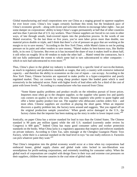Global manufacturing and retail corporations now use China as a staging ground to squeeze suppliers for ever lower costs. China's low wages certainly facilitate this trend, but the breakneck pace of China's economic growth – along with recent and welcome reforms to encourage labor rights – has put some damper on corporations' ability to keep China's wages permanently at half that of other countries and less than 3 percent that of U.S. toy workers. Thus Chinese suppliers are forced to cut costs in other ways, of late through unsafe, lead-covered inputs into the production process. In the words of one Mattel executive, "In the last three or five years, you've seen labor prices more than double, raw material prices double or triple, and I think that there's a lot of pressure on guys that are working at the margin to try to save money." According to the *New York Times,* while Mattel claims to not be putting pressure on its paint and other vendors to save money, "Mattel makes its best-known toys, like Barbie dolls, in its own 12 factories. But even as it has increased the share of toys it makes itself to about half, it still relies on roughly 30 to 40 vendors to make the other half … Mattel vetted the contractors, but it did not fully understand the extent to which some had in turn subcontracted to other companies – which in turn had subcontracted to even more."<sup>[78](#page-29-59)</sup>

Thus, China's place in the global toy industry is determined by a specific kind of race-to-the-bottom, as much in regulatory and production standards as wages, that only a country with extensive industrial capacity – and therefore the ability to economize on the cost of inputs – can occupy. According to the *New York Times*, Chinese factories are squeezed to make profits in a hyper-competitive and poorly regulated market. They cut corners by using cheap product inputs like leaded paint which is used extensively in the industrial sector. Paint with higher levels of lead often sells for a third of the cost of paint with lower levels.<sup>[79](#page-29-45)</sup> According to a manufacturer who has sourced from China:

"Some blame quality problems and product recalls on the relentless pursuit of lower prices. Importers most often go to the cheapest supplier, so the supplier who quotes low and quietly cuts corners on quality is the one who wins. Honest suppliers who prefer to quote higher and offer a better quality product lose out. The supplier who obfuscates catches orders first – and most often. Chinese suppliers are excellent at playing the short game. When an importer discovers a quality problem late, the factory turns around and suggests, 'But you signed off on the original production sample yourselves.' When goods arrive damaged in the U.S., the factory claims that the importer has been making up the story in order to lower import costs."<sup>[80](#page-29-46)</sup>

Ironically, on paper China has a stricter standard for lead in toys than the United States. The Chinese standard is 90 parts per million (ppm) while the old U.S. standard (currently under review by Congress) is  $600$  ppm.<sup>[81](#page-29-27)</sup> Indeed China has many good consumer safety and worker protection standards on the books. What China lacks is a regulatory apparatus that inspects and enforces standards on private industry. According to Chen Tao, sales manager at the Chenghai Guangxin Plastic Toys Factory, while there is a national standard on the lead level in toys "no one really enforces it. Factories can pick whatever paint they want."<sup>[82](#page-29-60)</sup>

That China's integration into the global economy would occur at a time when toy corporations had embraced leaner, global supply chains and global trade rules locked in neo-liberalism was serendipitous for profit-seeking corporations, and extremely troubling for consumer safety. When the global reach of corporations are coupled with design flaws in their toys and extreme cost pressures on their suppliers, children become canaries in the coal mine of global trade.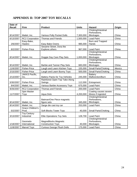# **APPENDIX II: TOP 2007 TOY RECALLS**

| Date of<br><b>Recall</b> | Firm                             | <b>Product</b>                           | <b>Units</b> | <b>Hazard</b>                                | Origin |
|--------------------------|----------------------------------|------------------------------------------|--------------|----------------------------------------------|--------|
|                          |                                  |                                          |              | Choking/Intestinal<br>Perforations,          |        |
| 8/14/2007                | Mattel, Inc.                     | 7,300,000<br>Various Polly Pocket Dolls  |              | <b>Blockages</b>                             | China  |
| 6/13/2007                | <b>RC2 Corporation</b>           | Thomas and Friends                       | 1,500,000    | <b>Lead Paint</b>                            | China  |
| 2/6/2007                 | Easy-Bake,<br>Hasbro             | Easy Bake Ovens                          | 985,000      | <b>Burn and Trapped</b><br>Hands             | China  |
|                          |                                  | Sesame Street, Dora the                  |              |                                              |        |
| 8/2/2007                 | <b>Fisher-Price</b>              | Explorer, others                         | 967,000      | <b>Lead Paint</b>                            | China  |
|                          |                                  |                                          |              | Choking/Intestinal<br>Perforations,          |        |
| 8/14/2007                | Mattel, Inc.                     | Doggie Day Care Play Sets                | 1,000,000    | <b>Blockages</b>                             | China  |
|                          |                                  |                                          |              | Choking/Intestinal                           |        |
| 8/14/2007                | Mattel, Inc.                     | Barbie and Tanner Play Sets              | 683,000      | Perforations,<br><b>Blockages</b>            | China  |
| 11/6/2007                | <b>Fisher-Price</b>              | Laugh and Learn Kitchen Toys             | 155,000      | <b>Small Parts/Choking</b>                   | Mexico |
| 2/15/2007                | Fisher-Price                     | Laugh and Learn Bunny Toys               | 500,000      | <b>Small Parts/Choking</b>                   | China  |
|                          | JAKKS Pacific,                   |                                          |              | <b>Battery</b>                               |        |
| 2/13/2007                | Inc.                             | <b>Battery Packs for Toy Vehicles</b>    | 245,000      | Malfunction/Burn                             | China  |
| 5/30/2007                | <b>Fisher-Price</b>              | Rainforest Open Top Take-Along<br>Swings | 112,000      | Entrapment                                   | China  |
| 9/4/2007                 | Mattel, Inc.                     | Various Barbie Accessory Toys            | 675,000      | <b>Lead Paint</b>                            | China  |
| 9/26/2007                | <b>RC2 Corporation</b>           | <b>Thomas and Friends</b>                | 200,000      | <b>Lead Paint</b>                            | China  |
| 11/7/2007                | Spin Master<br>Toys              | Aqua Dots                                | 4,200,000    | Coating causes severe<br>illness if ingested | China  |
|                          |                                  |                                          |              | Choking/Intestinal                           |        |
| 8/14/2007                | Mattel, Inc.                     | Batman/One Piece magnetic<br>figure sets | 345,000      | Perforations,<br><b>Blockages</b>            | China  |
| 8/14/2007                | Mattel, Inc.                     | Sarge die cast toy car                   | 253,000      | <b>Lead Paint</b>                            | China  |
|                          | Graco Children's                 |                                          |              |                                              |        |
| 5/2/2007                 | Prod.                            | Soft Blocks Tower Toys                   | 40,000       | Small Parts/Choking                          | China  |
| 3/13/2007                | <b>Toy Century</b><br>Industrial | <b>Elite Operations Toy Sets</b>         | 128,700      | <b>Lead Paint</b>                            | China  |
|                          |                                  |                                          |              | Choking/Intestinal                           |        |
|                          | Geometix                         | MagneBlocks Magnetic                     |              | Perforations,                                |        |
| 1/18/2007                | International                    | <b>Construction Toys</b>                 | 40,000       | <b>Blockages</b>                             | China  |
| 11/8/2007                | <b>Marvel Toys</b>               | <b>Curious George Plush Dolls</b>        | 175,000      | <b>Lead Paint</b>                            | China  |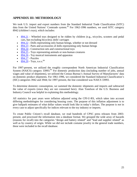# **APPENDIX III: METHODOLOGY**

We took U.S. import and export numbers from the Standard Industrial Trade Classification (SITC) data from the United Nations' Comtrade system.<sup>[83](#page-29-61)</sup> For 1962-1996 numbers, we used SITC category 8942 (children's toys), which includes:

- [894.21](http://unstats.un.org/unsd/cr/registry/regcs.asp?Cl=14&Lg=1&Co=894.21) Wheeled toys designed to be ridden by children (e.g., tricycles, scooters and pedal cars, but excluding bicycles); dolls' carriages
- $\cdot$  [894.22](http://unstats.un.org/unsd/cr/registry/regcs.asp?Cl=14&Lg=1&Co=894.22) Dolls representing only human beings, whether or not dressed
- [894.23](http://unstats.un.org/unsd/cr/registry/regcs.asp?Cl=14&Lg=1&Co=894.23) Parts and accessories of dolls representing only human beings
- [894.24](http://unstats.un.org/unsd/cr/registry/regcs.asp?Cl=14&Lg=1&Co=894.24) Construction sets and constructional toys
- [894.25](http://unstats.un.org/unsd/cr/registry/regcs.asp?Cl=14&Lg=1&Co=894.25) Toys representing animals or non-human creatures
- [894.26](http://unstats.un.org/unsd/cr/registry/regcs.asp?Cl=14&Lg=1&Co=894.26) Toy musical instruments and apparatus
- $\bullet$  [894.27](http://unstats.un.org/unsd/cr/registry/regcs.asp?Cl=14&Lg=1&Co=894.27) Puzzles
- $894.29$  Toys, n.e.s.  $84$

For 1997-present, we utilized the roughly correspondent North American Industrial Classification System (NAICS) category 33993.<sup>[85](#page-29-62)</sup> For domestic production data (including number of jobs, annual wages and value of shipments), we utilized the Census Bureau's Annual Survey of Manufactures' data on domestic product shipments. For 1961-1996, we considered the Standard Industrial Classification's (SIC) categories 3942 and 3944; for 1997-present, the line considered was NAICS 33993.

To determine domestic consumption, we summed the domestic shipments and imports and subtracted the value of exports (since they are not consumed here). Alan Tonelson of the U.S. Business and Industry Council was helpful in explaining this methodology.

All statistics for past years were inflation adjusted using the CPI-U-RS, which takes into account differing methodologies for considering housing costs. The purpose of this inflation adjustment is to give ballpark estimates of what dollar values would look like in today's dollars. The purpose is *not* in every case to adjust specifically for indices relevant to the toy industry or imports.

To create Public Citizen's recall database, we read hundreds of CPSC press releases from 2003 present, and processed the information into a database format. We grouped the wide array of hazards (reasons for recall) into the categories "design and battery related" and "lead and supplier related" as well as by country of origin. While we did not include costume jewelry in the general trade numbers, these were included in the recall database.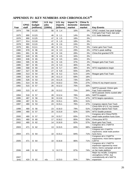# **APPENDIX IV: KEY NUMBERS AND CHRONOLOGY<sup>86</sup>**

|               |             | <b>CPSC</b> | U.S. toy | $U.S.$ toy | Import % | China %  |                                                            |
|---------------|-------------|-------------|----------|------------|----------|----------|------------------------------------------------------------|
|               | <b>CPSC</b> | budget      | jobs     | imports    | domestic | domestic |                                                            |
| Year          | staff       | (millions)  | (1000s)  | (billions) | market   | market   | <b>Key Events</b>                                          |
| 1974          | 786         | \$125       | 56       | \$1.4      | 16%      | 0%       | CPSC created; has peak budget                              |
|               |             |             |          |            |          |          | Ford gets Fast Track; last year                            |
| 1975          | 890         | \$123       | 46       | \$<br>1.1  | 14%      | 0%       | U.S. trade balanced                                        |
| 1976          | 890         | \$125       | 47       | \$<br>1.5  | 18%      | 0%       |                                                            |
| 1977          | 914         | \$118       | 47       | \$<br>1.9  | 18%      | $0\%$    |                                                            |
| 1978          | 900         | \$115       | 45       | \$<br>2.6  | 24%      | 0%       |                                                            |
| 1979          | 881         | \$111       | 48       | 3.1<br>\$  | 27%      | 0%       | Carter gets Fast Track                                     |
| 1980          | 978         | \$<br>96    | 44       | \$<br>3.3  | 29%      | 0%       | CPSC's peak staffing                                       |
| 1981          | 891         | \$<br>90    | 42       | \$<br>3.6  | 28%      | 0%       | China first granted NTR                                    |
| 1982          | 649         | \$<br>65    | 38       | \$<br>4.5  | 34%      | 0%       |                                                            |
| 1983          | 636         | \$<br>65    | 40       | \$<br>3.5  | 33%      | 0%       |                                                            |
| 1984          | 595         | \$<br>65    | 31       | \$<br>4.6  | 37%      | 2%       | Reagan gets Fast Track                                     |
| 1985          | 587         | \$<br>65    | 23       | 5.3<br>\$  | 46%      | 4%       |                                                            |
| 1986          | 568         | \$<br>60    | 24       | \$<br>5.7  | 48%      | 6%       | WTO negotiations begin                                     |
| 1987          | 527         | \$<br>59    | 27       | \$<br>6.8  | 55%      | 10%      |                                                            |
| 1988          | 513         | \$<br>54    | 30       | \$<br>6.2  | 51%      | 14%      | Reagan gets Fast Track                                     |
| 1989          | 529         | \$<br>54    | 28       | \$11.3     | 69%      | 18%      |                                                            |
|               |             |             | 24       |            |          |          |                                                            |
| 1990          | 526         | \$<br>53    |          | \$11.6     | 73%      | 22%      |                                                            |
| 1991          | 514         | \$<br>54    | 23       | \$10.2     | 70%      | 27%      | China #1 toy import source                                 |
| 1992          | 515         | \$<br>57    | 26       | \$12.2     | 75%      | 33%      | NAFTA passed; Clinton gets                                 |
| 1993          | 515         | \$<br>67    | 28       | \$13.2     | 75%      | 34%      | Fast Track extension                                       |
|               |             |             |          |            |          |          | WTO passed; Dems ousted after                              |
| 1994          | 518         | \$<br>57    | 28       | \$12.4     | 78%      | 44%      | NAFTA support                                              |
| 1995          | 487         | \$<br>56    | 30       | \$13.6     | 77%      | 47%      | WTO begins operations                                      |
| 1996          | 487         | \$<br>51    | 29       | \$15.1     | 80%      | 51%      |                                                            |
| 1997          | 480         | \$<br>53    | 24       | \$15.1     | 76%      | 47%      | Congress rejects Fast Track                                |
| 1998          | 480         | \$<br>56    | 23       | \$16.0     | 79%      |          | China 50% of U.S. toy market;                              |
|               |             | \$<br>57    |          | \$15.9     |          | 51%      | Congress rejects Fast Track<br><b>WTO Seattle protests</b> |
| 1999          | 480         |             | 20       |            | 82%      | 53%      | Congress ok's China PNTR;                                  |
| 2000          | 480         | \$<br>57    | 19       | \$15.7     | 83%      | 57%      | weak trade position hurts Gore                             |
| 2001          | 480         | \$<br>60    | 17       | \$16.2     | 85%      | 52%      | China joins WTO                                            |
| 2002          | 480         | \$<br>62    | 14       | \$16.9     | 82%      | 57%      | <b>Bush gets Fast Track</b>                                |
|               |             |             |          |            |          |          | Congress ok's 2 NAFTA                                      |
| 2003          | 471         | \$<br>62    | 13       | \$15.5     | 83%      | 68%      | expansions                                                 |
|               |             |             |          |            |          |          | Congress ok's 2 NAFTA                                      |
| 2004          | 471         | \$<br>64    | 10       | \$15.2     | 84%      | 71%      | expansions; weak trade position<br>hurts Kerry             |
|               |             |             |          |            |          |          | Congress ok's 2 NAFTA                                      |
|               |             |             |          |            |          |          | expansions; most Dems oppose                               |
| 2005          | 471         | \$<br>64    | 10       | \$16.8     | 86%      | 71%      | <b>CAFTA</b>                                               |
|               |             |             |          |            |          |          | Congress ok's 1 NAFTA<br>expansion opposed by most         |
|               |             |             |          |            |          |          | Dems; Dems campaign and win                                |
| 2006          | 446         | \$<br>62    | 9        | \$17.0     | 87%      | 74%      | on fair trade platform                                     |
|               |             |             |          |            |          |          | Major toy recalls; Congress                                |
|               |             |             |          |            |          |          | strengthens CPSC, but                                      |
| 2007<br>(est) | 420         | \$62        | n/a      | \$23.0     | 91%      | 78%      | contradictorily ok's NAFTA<br>expansion                    |
|               |             |             |          |            |          |          |                                                            |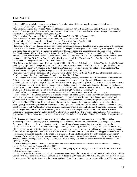### **ENDNOTES**

<sup>1</sup> The top 2007 toy recalls by dollar value are listed in Appendix II. *See* CPSC web page for a complete list of recalls: http://www.cpsc.gov/cpscpub/prerel/prerel.html.

<sup>2</sup> See Consumer Reports press release, "Tests Find More Lead in Products," Oct. 29, 2007; see Ecology Center's toy website: www.HealthyToys.Org; and most recently, Ted Gregory and Sam Roe, "Hidden Hazards Kids at Risk: Many more toys tainted with lead, inquiry finds," *Chicago Tribune*, Nov. 18, 2007.

<sup>3</sup> "Trade Advisory Committees: Privileged Access for Polluters," Public Citizen, December 1991.

4 James Bacchus, "WTO obligations still apply," *National Law Journal,* Sept. 10, 2007.

<sup>5</sup> Barry Meier, "To insure toy safety, U.S. shifts its attack," *New York Times,* Aug. 25, 1990.

<sup>6</sup> Neil C. Hughes, "A Trade War with China?" *Foreign Affairs*, July/August 2005.

 $^7$  Fast Track is the process whereby Congress delegates its constitutional authority to set the terms of trade policy to the executive branch. The executive branch picks the countries with which to negotiate trade agreements and even signs the agreements before Congress gets an up-or-down vote on massive trade bills, with limited debate and no amendments allowed. *See* Hal S. Shapiro, *Fast Track: A Legal, Historical, and Political Analysis,* (Ardsley, N.Y.: Transnational Publishers, 2006); Edward Rohrbach, "Nixon asks free hand in trade, tariffs," *Chicago Tribune,* April 11, 1973; Edwin L. Dale, Jr., "Credits to Soviet barred as House backs trade bill," *New York Times,* Dec. 12, 1973; "The deal on the trade bill," *Washington Post,* Dec. 20, 1974; Bernard Gwertzman, "Ford signs the trade act," *New York Times,* Jan. 4, 1975.

<sup>8</sup> One lobbyist for the National Mass Retailing Institute said in 1981, "The CPSC should be abolished." *See* Stan Crock, "Productsafety agency fights cuts in budget and power as Congress mulls role of regulators," *Wall Street Journal,* April 30, 1981. Another toy producer told the *New York Times* in 1974 that the CPSC and other regulatory efforts "all add up to over-regulation." *See* Leonard Sloane, "Sharp-eyed regulators reign in Toyland," *New York Times,* Dec. 22, 1974.

9 *See* Louise Story, "After Stumbling, Mattel Cracks Down in China," *New York Times,* Aug. 29, 2007; Statement of Thomas F. St. Maxens, Mattel, Inc., Ways and Means Committee hearing, March 7, 2001.

<sup>10</sup> As G. Wayne Miller wrote in his comprehensive survey of the toy industry, "there were powerful new external forces at work. Following consumers, who increasingly bought their toys at discount at retail chains, the bulk of Hasbro's business was gravitating to four retail giants: Toys R' Us, Wal-Mart, Kmart and Target, part of Dayton Hudson. All were placing new pressures on suppliers, notably with just-in-time inventory, a system of shipping on demand that shifted much of the warehousing burden back to manufacturers." *See* G. Wayne Miller, *Toy wars,* (New York: Random House, 1998), at 132. *See* also Barry C. Lynn, *End of The Line: The Rise and Coming Fall of the Global Corporation,* (New York: Doubleday, 2005).

<sup>11</sup> David Barboza, "China Drafts Law to Empower Unions and End Labor Abuse," *New York Times,* Oct. 13, 2006. <sup>12</sup> In December 2006, the Chinese government released a revised draft of the Labor Contract Law with significant changes that would favor corporate interests. The US-China Business Council touted the new draft as a "significant improvement," and lobbyists for U.S. corporate interests claimed credit. "Comments from the business community appear to have had an impact. Whereas the March 2006 draft offered a substantial increase in the protection for employees and a greater role for union than existing law, [the new draft] scaled back protections for employees and sharply curtailed the role of unions," stated one lobbyist. *See* Brenda Smith and Tim Costello, "Undue Influence: Corporations Gain Ground in Battle over China's New Labor Law – But Human Rights and Labor Advocates Are Pushing Back," Global Labor Strategies / ZNet, April 6, 2007. *See* also "Undue Influence: Corporations Gain Ground in Battle Over China's New Labor Law, - But Human Rights and Labor Advocates Are Pushing Back," Global Labor Strategies Report, March 2007; "Behind the Great Wall of China," Global Labor Strategies Report, 2006.

 $13$  For instance, as a lobby group that represents toy and other importers testified on a measure related to China's WTO membership in 2001: "Every day, [our] members shop the United States and the world in search of consumer goods that meet American families' demands for quality at competitive prices. China offers us an opportunity to provide the goods these consumers demand at prices that fit their increasingly tight budgets. For many products, such as toys and consumer electronics, China is a low-cost alternative to other foreign producers. Imports of consumer products from China are clearly significant, and failure to [pass this legislation] would have broad effects on American families…Imagine what would happen to the inflation rate – and American families' budgets – if the prices of consumer goods imported from China shot up by as much as 66 percent." Statement of Eric Author, Vice President and International Trade Council, National Retail Federation, July 10, 2001, Ways and Means Committee hearing. *See also* Harry J. Pearce, CFO of Tyco Toys, Testimony for Senate Finance Committee on China MFN, June 6, 1996.

<sup>14</sup> Charles Kernaghan, Director National Labor Committee, Testimony before United States Senate Committee on Commerce, Science & Transportation Thursday, Oct. 25, 2007.

<sup>15</sup> Average of Toys R' Us, Hasbro, Mattel and Target, for 2006 (company 10-K filings) and assorted years from the early 1970s (10-K filings and news reports).

<sup>16</sup> In 1972, toy production workers made \$5,370 on average. According to the *Los Angeles Times*, Mattel's CEO made \$125,060 a year in 1974. According to the *Chicago Tribune,* in 1979, Target's CEO made \$440,000. A *Los Angeles Times* story from 1982 put the average CEO pay in America at the time at \$400,000. From these numbers, we estimate roughly that CEO compensation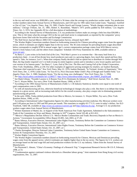in the toy and retail sector was \$300,000 a year, which is 56 times what the average toy production worker made. Toy production worker numbers taken from Annual Survey of Manufactures, and CEO pay for 1981 taken from Linda Grant, "Superpay: Justified or Out of Line," *Los Angeles Times,* Aug. 19, 1982; Charles Storch and George Lazarus, "Wards changes retirement plan to save millions," *Chicago Tribune,* Jan. 31, 1981; Robert A. Rosenblatt, "Mattel's 1971 profits padded by \$18 million," *Los Angeles Times,* Oct. 3, 1974. *See* Appendix III for a full description of methodology.

<sup>17</sup> According to the Annual Survey of Manufactures, U.S. toy production workers make on average a little less than \$30,000 a year. This is 542 times what the average CEO in the toy and retail sector is compensated, as reported by the companies' proxy disclosure forms filed with the Securities and Exchange Commission.

<sup>18</sup> *The Wall Street Journal-Mercer 2006 CEO Compensation Survey, released April 2007.* 

<sup>19</sup> The Worker Rights Consortium numbers (based on forthcoming research) for Chinese prevailing wages come from the apparel sector, which it estimates are slightly higher than in the toy sector. The 36 cents estimate for prevailing hourly wages described below corresponds to roughly \$700 in annual wages. Iger's current compensation package comes from WSJ-Mercer survey; Storch's from Salary.Com; and the others from companies' Schedule 14A Proxy Statements for 2006, available online at www.sec.gov.

<sup>20</sup> As Barry C. Lynn writes in his book *End of the Line,* "Wal-Mart's power is so extreme that – like many lead firms in a production chain – it can all but dictate how much producers earn and, to a growing degree, how much they spend and how they spend it. Take, for instance, Levi's. When that company finally decided it had no option but to distribute its clothes through Wal-Mart, the big retailer required Levi's to both revamp its entire logistics system and to introduce a new lower-quality and lowercost version of its famous pants." *See* Barry C. Lynn, *End of The Line: The Rise and Coming Fall of the Global Corporation,* (New York: Doubleday, 2005), at 230. For other examples of aggressive pricing strategies by retailers, s*ee* Isadore Barmash, "Interstate chief expected to quit," *New York Times,* May 22, 1976; Isadore Barmash, "In Toyland, Armies of Supermarts," *New York Times,* Dec. 3, 1978; Linda Grant, "At Toys R Us, Price Discounts Make Child's Play of Rough-and-Tumble Field," *Los Angeles Times,* Dec. 3, 1980; Stephanie Strom, "For the toy king, new challengers," *New York Times,* Dec. 1, 1994. <sup>21</sup> *See http://local.yahoo.com/details?id=12384577, http://www.culturaltourismdc.org/usr\_doc/AMHT\_English.pdf.*

<sup>22</sup> See Hank Gilman, "Founder Lazarus is A Reason Toys R Us Dominates Its Industry," *Wall Street Journal*, Nov. 21, 1985.

<sup>23</sup> *See* G. Wayne Miller, *Toy wars,* (New York: Random House, 1998), at 56-57.

<sup>24</sup> According to the 1994 Annual Survey of Manufactures (Table 3, 1-36 Industry Statistics), benefits were equal to one-sixth of total compensation costs in 1993.

 $^{25}$  As with all manufacturing job loss, otherwise beneficial technological changes also play a role. But there is no debate that rising imports in a given sector, and an increasing trade deficit for the overall economy, also play a major role in eliminating potential manufacturing job growth.

<sup>26</sup> In the early 1990s, Tonka shifted production from Ohio to Mexico, for instance. G. Wayne Miller, *Toy wars,* (New York: Random House, 1998), at 105.

<sup>27</sup> According to International Labor Organization figures for other manufacturing activities (subclass 36), Mexican workers were paid 5.09 pesos per hour in 1993 and 993 pesos per month. This translates to roughly 65-77 U.S. cents in today's dollars. *See* ILO Yearbook, Table 5B, available at: http://www.xe.com/ucc/convert.cgi and http://laborsta.ilo.org/. Average U.S. toy production workers wages taken from Annual Survey of Manufactures.

<sup>28</sup> Written Statement of Mattel, Inc. in Support of the North American Free Trade Agreement, Submitted to the Subcommittee on Trade of the Committee on Ways and Means, Hearings in 103rd Congress, Serial 103-48, at 811-812.

<sup>29</sup> "Mexico's Maquiladora Decline Affects U.S.- Mexico Border Communities and Trade; Recovery Depends in Part on Mexico's Actions," Government Accountability Office Report 03-891, July 2003, at 27-28.

<sup>30</sup> Bama Athreya, Executive Director, International Labor Rights Forum, Testimony Before the Committee on Commerce Science and Transportation, United States Senate, Oct. 25, 2007, at 2.

<sup>31</sup> Bama Athreya, Executive Director, International Labor Rights Forum, Testimony Before the Committee on Commerce Science and Transportation, United States Senate, Oct. 25, 2007, at 1.

<sup>32</sup> Charles Kernaghan, Director National Labor Committee, Testimony before United States Senate Committee on Commerce, Science & Transportation Thursday, Oct. 25, 2007.

<sup>33</sup> Worker Rights Consortium figures.

<sup>34</sup> The Worker Rights Consortium numbers (based on forthcoming research) for Chinese, Mexican and Dominican prevailing wages come from the apparel sector, which it estimates are slightly higher than in the toy sector. The figures for U.S. workers are an average based on the total wage bill and total production workers for the U.S. toy industry. Taken from the Annual Survey of Manufactures.

<sup>35</sup> *See* Raymond J. Ahearn, "China's Economy: Findings of a Research Trip," Congressional Research Service 98-131-F, February 1998, at 14.

<sup>36</sup> "Condemnation against continued violence directed at a Shenzhen labour group," Joint statement from Hong Kong civil society organizations, Dec. 12, 2007.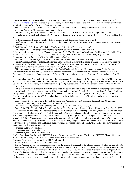<sup>37</sup> *See* Consumer Reports press release, "Tests Find More Lead in Products," Oct. 29, 2007; *see* Ecology Center's toy website: www.HealthyToys.Org; and most recently, Ted Gregory and Sam Roe, "Hidden Hazards Kids at Risk: Many more toys tainted with lead, inquiry finds," *Chicago Tribune*, Nov. 18, 2007.

 $39$  One survey of toy recalls in Canada found the majority of recalls in that country were due to design flaws and not manufacturing issues such as lead paint. *See* Naomi Kim, "Focus of toy recalls misdirected at China: survey," *Reuters*, Nov. 13, 2007.

<sup>40</sup> Forthcoming research paper by Lindsey Pullen, Department of Economics, American University.

<sup>41</sup> David Barboza, "Labor Shortage in China May Lead to Trade Shift," *New York Times*, April 3, 2006, quoting Hong Liang of Goldman Sachs.

<sup>42</sup> David Barboza, "Why Lead in Toy Paint? It's Cheaper," *New York Times*, Sept. 11, 2007.

<sup>43</sup> See Appendix III for a description of methodology for all otherwise unsourced trade numbers.

<sup>44</sup> Barbara Hinkson Craig, *Courting Change: The Story of the Public Citizen Litigation Group,* (Washington, D.C.: Public Citizen, 2004); Grace Lichtenstein, "Toys of 70's: Guillotines and Hypodermic Needles," *New York Times,* July 12, 1971.

 $45$  Consumer Product Safety Act, 15 U.S.C. 2051, section 2(b)(1).

<sup>46</sup> Sari Horwitz, "Consumer agency faces an uncertain future after tumultuous week," *Washington Post,* Jan. 6, 1985.

<sup>47</sup> Rachel Weintraub, Director of Product Safety and Senior Counsel, Consumer Federation of America, Testimony Before the Appropriations Subcommittee on Financial Services and General Government Committee on Appropriations, U.S. House of Representatives, Hearing on Consumer Protection Issues, Feb. 28, 2007, at 3.

 $^{48}$  FTE represents a full time equivalent staffing ratio. Rachel Weintraub, Director of Product Safety and Senior Counsel, Consumer Federation of America, Testimony Before the Appropriations Subcommittee on Financial Services and General Government Committee on Appropriations, U.S. House of Representatives, Hearing on Consumer Protection Issues, Feb. 28, 2007, at 3.

<sup>49</sup> Figures taken from Weintraub testimony and inflation adjusted. For reports on the CPSC's early years through 1980, *see* Burt Schorr, "Consumer product safety commission finds deep hazards in just getting itself rolling," *Wall Street Journal,* May 6, 1975; Stan Crock, "Product-safety agency fights cuts in budget and power as Congress mulls role of regulators," *Wall Street Journal,* April 30, 1981.

<sup>50</sup> While collective liability theories have evolved to better reflect the disperse nature of production in a "contemporary complex industrial society," many such theories are still "based on a national market." *See* John B. Isbister and Jaime W. Luse, "Liability for a product that you did not make," *Federation of Defense & Corporate Counsel Quarterly,* Vol. 57, Issue 1, Fall 2006.

 $51$  In inflation adjusted terms, the CPSC's highest budget level was in its first year  $-1974$  – when it had a budget authority of \$125.5 million.

<sup>52</sup> Scott Wolfson, Deputy Director, Office of Information and Public Affairs, U.S. Consumer Product Safety Commission, communication with Mary Bottari, Public Citizen, Nov. 13, 2007.

<sup>53</sup> Eric Lipton, "Safety Agency Faces Scrutiny Amid Changes," *New York Times,* Sept. 2, 2007.

<sup>54</sup> Annys Shin, "CPSC Leader Called On to Resign, Pelosi Cites Opposition to Expanded Role," *Washington Post*, Oct. 31, 2007. <sup>55</sup> A *Wall Street Journal* article reported that "the relentless migration of manufacturing to far-flung factories in China and other developing countries has made it increasingly impractical for Western retailers to rely solely on in-house product testing. As a result, more large chains are outsourcing the task to independent [foreign] specialists… Using independent testers can also *reduce a retailer's liability if a customer sues,* because it shows a good-faith effort by the retailer to offer safe products" (emphasis ours). The article noted that many such contractors are not testing for everything that they should: in one case, a contractor was "hired to test whether the toys posed a choking hazard, but not whether they posed a suffocation risk." *See* Matt Pottinger, "Outsourcing safety tests," *Wall Street Journal,* Nov. 26, 2004.

<sup>56</sup> For instance, NAFTA Article 1105.

 $\frac{57 \text{ F} \cdot \text{F}}{20 \text{ F}}$  For instance, NAFTA Article 1105.

<sup>57</sup> For instance, U.S.-Peru FTA Article 10.28.

58 Mary Bottari and Lori Wallach, "NAFTA Threat to Sovereignty and Democracy: The Record of NAFTA Chapter 11 Investor-State Cases 1994-2005," Public Citizen's Global Trade Watch, February 2005.

<sup>59</sup> *See* e.g. Agreement Establishing the WTO, Article XVI-4.

 $60$  Public Citizen's database on WTO win-loss ratios.

<sup>61</sup> The TBT agreement cites the product standards of the International Organization for Standardization (ISO) in Geneva. The ISO is a private-sector body comprised of industry representatives, and very few public interest organizations are able to sit on its 2500 working groups. Its technical committee 181 sets standards for toys. The current ISO standard for lead in toys is 90 ppm. While this standard is currently stricter than the out-of-date U.S. standard of 600 ppm, it is less strict than the 40 ppm standard supported by the American Academy of Pediatrics and other health groups in a proposed bill in Congress, HR 3691. If HR 3691 passes, our trading partners could argue that it constitutes a barrier to trade as it is more consumer protective than the weaker ISO standard.

<sup>&</sup>lt;sup>38</sup> Numbers derived from an analysis of CPSC toy recall press releases, which unlike previous trade analysis includes costume jewelry. *See* Appendix III for description of methodology.